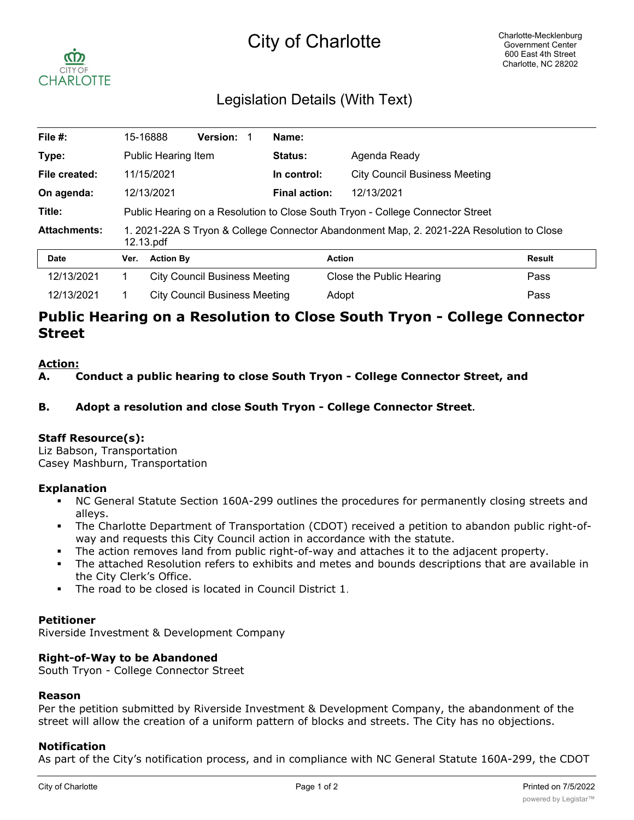# City of Charlotte



# Legislation Details (With Text)

| File #:             |                                                                                                       | 15-16888                             | <b>Version:</b> |  | Name:                |                                      |               |
|---------------------|-------------------------------------------------------------------------------------------------------|--------------------------------------|-----------------|--|----------------------|--------------------------------------|---------------|
| Type:               |                                                                                                       | Public Hearing Item                  |                 |  | Status:              | Agenda Ready                         |               |
| File created:       |                                                                                                       | 11/15/2021                           |                 |  | In control:          | <b>City Council Business Meeting</b> |               |
| On agenda:          | 12/13/2021                                                                                            |                                      |                 |  | <b>Final action:</b> | 12/13/2021                           |               |
| Title:              | Public Hearing on a Resolution to Close South Tryon - College Connector Street                        |                                      |                 |  |                      |                                      |               |
| <b>Attachments:</b> | 1. 2021-22A S Tryon & College Connector Abandonment Map, 2. 2021-22A Resolution to Close<br>12.13.pdf |                                      |                 |  |                      |                                      |               |
| <b>Date</b>         | Ver.                                                                                                  | <b>Action By</b>                     |                 |  |                      | <b>Action</b>                        | <b>Result</b> |
| 12/13/2021          | 1.                                                                                                    | <b>City Council Business Meeting</b> |                 |  |                      | Close the Public Hearing             | Pass          |
| 12/13/2021          |                                                                                                       | <b>City Council Business Meeting</b> |                 |  |                      | Adopt                                |               |

# **Public Hearing on a Resolution to Close South Tryon - College Connector Street**

#### **Action:**

**A. Conduct a public hearing to close South Tryon - College Connector Street, and**

**B. Adopt a resolution and close South Tryon - College Connector Street.**

# **Staff Resource(s):**

Liz Babson, Transportation Casey Mashburn, Transportation

# **Explanation**

- § NC General Statute Section 160A-299 outlines the procedures for permanently closing streets and alleys.
- § The Charlotte Department of Transportation (CDOT) received a petition to abandon public right-ofway and requests this City Council action in accordance with the statute.
- The action removes land from public right-of-way and attaches it to the adjacent property.
- The attached Resolution refers to exhibits and metes and bounds descriptions that are available in the City Clerk's Office.
- § The road to be closed is located in Council District 1.

# **Petitioner**

Riverside Investment & Development Company

# **Right-of-Way to be Abandoned**

South Tryon - College Connector Street

#### **Reason**

Per the petition submitted by Riverside Investment & Development Company, the abandonment of the street will allow the creation of a uniform pattern of blocks and streets. The City has no objections.

# **Notification**

As part of the City's notification process, and in compliance with NC General Statute 160A-299, the CDOT